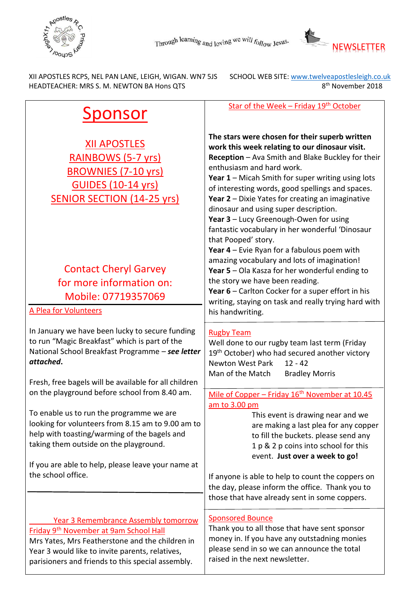



HEADTEACHER: MRS S. M. NEWTON BA Hons QTS 8

XII APOSTLES RCPS, NEL PAN LANE, LEIGH, WIGAN. WN7 5JS SCHOOL WEB SITE: www.twelveapostlesleigh.co.uk 8<sup>th</sup> November 2018

| Sponsor                                                                                                                                                                                                                                                                                                              | Star of the Week - Friday 19 <sup>th</sup> October                                                                                                                                                                                                                                                                                                                                                                                                                                                                                                            |
|----------------------------------------------------------------------------------------------------------------------------------------------------------------------------------------------------------------------------------------------------------------------------------------------------------------------|---------------------------------------------------------------------------------------------------------------------------------------------------------------------------------------------------------------------------------------------------------------------------------------------------------------------------------------------------------------------------------------------------------------------------------------------------------------------------------------------------------------------------------------------------------------|
| <b>XII APOSTLES</b><br>RAINBOWS (5-7 yrs)<br><b>BROWNIES (7-10 yrs)</b><br><b>GUIDES (10-14 yrs)</b><br><b>SENIOR SECTION (14-25 yrs)</b>                                                                                                                                                                            | The stars were chosen for their superb written<br>work this week relating to our dinosaur visit.<br>Reception - Ava Smith and Blake Buckley for their<br>enthusiasm and hard work.<br>Year 1 - Micah Smith for super writing using lots<br>of interesting words, good spellings and spaces.<br>Year 2 - Dixie Yates for creating an imaginative<br>dinosaur and using super description.<br>Year 3 - Lucy Greenough-Owen for using<br>fantastic vocabulary in her wonderful 'Dinosaur<br>that Pooped' story.<br>Year $4$ – Evie Ryan for a fabulous poem with |
| <b>Contact Cheryl Garvey</b><br>for more information on:<br>Mobile: 07719357069<br>A Plea for Volunteers                                                                                                                                                                                                             | amazing vocabulary and lots of imagination!<br>Year 5 - Ola Kasza for her wonderful ending to<br>the story we have been reading.<br>Year 6 - Carlton Cocker for a super effort in his<br>writing, staying on task and really trying hard with<br>his handwriting.                                                                                                                                                                                                                                                                                             |
| In January we have been lucky to secure funding<br>to run "Magic Breakfast" which is part of the<br>National School Breakfast Programme - see letter<br>attached.<br>Fresh, free bagels will be available for all children                                                                                           | <b>Rugby Team</b><br>Well done to our rugby team last term (Friday<br>19 <sup>th</sup> October) who had secured another victory<br><b>Newton West Park</b><br>$12 - 42$<br>Man of the Match<br><b>Bradley Morris</b>                                                                                                                                                                                                                                                                                                                                          |
| on the playground before school from 8.40 am.<br>To enable us to run the programme we are<br>looking for volunteers from 8.15 am to 9.00 am to<br>help with toasting/warming of the bagels and<br>taking them outside on the playground.<br>If you are able to help, please leave your name at<br>the school office. | Mile of Copper - Friday 16 <sup>th</sup> November at 10.45<br>am to 3.00 pm<br>This event is drawing near and we<br>are making a last plea for any copper<br>to fill the buckets. please send any<br>1 p & 2 p coins into school for this<br>event. Just over a week to go!<br>If anyone is able to help to count the coppers on<br>the day, please inform the office. Thank you to<br>those that have already sent in some coppers.                                                                                                                          |
| <b>Year 3 Remembrance Assembly tomorrow</b><br>Friday 9 <sup>th</sup> November at 9am School Hall<br>Mrs Yates, Mrs Featherstone and the children in<br>Year 3 would like to invite parents, relatives,<br>parisioners and friends to this special assembly.                                                         | <b>Sponsored Bounce</b><br>Thank you to all those that have sent sponsor<br>money in. If you have any outstadning monies<br>please send in so we can announce the total<br>raised in the next newsletter.                                                                                                                                                                                                                                                                                                                                                     |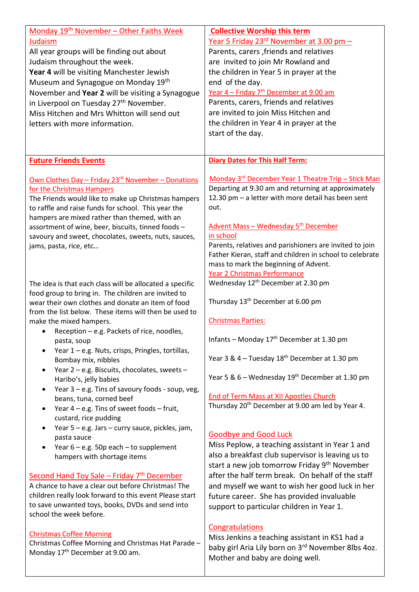| Monday 19 <sup>th</sup> November - Other Faiths Week<br>Judaism<br>All year groups will be finding out about<br>Judaism throughout the week.<br>Year 4 will be visiting Manchester Jewish<br>Museum and Synagogue on Monday 19th<br>November and Year 2 will be visiting a Synagogue<br>in Liverpool on Tuesday 27 <sup>th</sup> November.<br>Miss Hitchen and Mrs Whitton will send out<br>letters with more information.                                                                                                                               | <b>Collective Worship this term</b><br><u>Year 5 Friday 23<sup>rd</sup> November at 3.00 pm -</u><br>Parents, carers, friends and relatives<br>are invited to join Mr Rowland and<br>the children in Year 5 in prayer at the<br>end of the day.<br>Year 4 – Friday 7 <sup>th</sup> December at 9.00 am<br>Parents, carers, friends and relatives<br>are invited to join Miss Hitchen and<br>the children in Year 4 in prayer at the<br>start of the day.          |
|----------------------------------------------------------------------------------------------------------------------------------------------------------------------------------------------------------------------------------------------------------------------------------------------------------------------------------------------------------------------------------------------------------------------------------------------------------------------------------------------------------------------------------------------------------|-------------------------------------------------------------------------------------------------------------------------------------------------------------------------------------------------------------------------------------------------------------------------------------------------------------------------------------------------------------------------------------------------------------------------------------------------------------------|
| <b>Future Friends Events</b>                                                                                                                                                                                                                                                                                                                                                                                                                                                                                                                             | <b>Diary Dates for This Half Term:</b>                                                                                                                                                                                                                                                                                                                                                                                                                            |
| Own Clothes Day - Friday 23 <sup>rd</sup> November - Donations<br>for the Christmas Hampers<br>The Friends would like to make up Christmas hampers<br>to raffle and raise funds for school. This year the<br>hampers are mixed rather than themed, with an<br>assortment of wine, beer, biscuits, tinned foods -<br>savoury and sweet, chocolates, sweets, nuts, sauces,<br>jams, pasta, rice, etc                                                                                                                                                       | Monday 3rd December Year 1 Theatre Trip - Stick Man<br>Departing at 9.30 am and returning at approximately<br>12.30 pm - a letter with more detail has been sent<br>out.<br>Advent Mass - Wednesday 5 <sup>th</sup> December<br>in school<br>Parents, relatives and parishioners are invited to join<br>Father Kieran, staff and children in school to celebrate<br>mass to mark the beginning of Advent.<br>Year 2 Christmas Performance                         |
| The idea is that each class will be allocated a specific<br>food group to bring in. The children are invited to<br>wear their own clothes and donate an item of food<br>from the list below. These items will then be used to<br>make the mixed hampers.<br>Reception - e.g. Packets of rice, noodles,<br>pasta, soup<br>Year 1 - e.g. Nuts, crisps, Pringles, tortillas,<br>Bombay mix, nibbles<br>Year 2 - e.g. Biscuits, chocolates, sweets -<br>$\bullet$<br>Haribo's, jelly babies<br>Year 3 - e.g. Tins of savoury foods - soup, veg,<br>$\bullet$ | Wednesday 12 <sup>th</sup> December at 2.30 pm<br>Thursday 13 <sup>th</sup> December at 6.00 pm<br><b>Christmas Parties:</b><br>Infants – Monday $17th$ December at 1.30 pm<br>Year 3 & 4 - Tuesday 18 <sup>th</sup> December at 1.30 pm<br>Year 5 & 6 – Wednesday 19 <sup>th</sup> December at 1.30 pm                                                                                                                                                           |
| beans, tuna, corned beef<br>Year $4 - e.g.$ Tins of sweet foods $-$ fruit,<br>٠<br>custard, rice pudding<br>Year 5 - e.g. Jars - curry sauce, pickles, jam,<br>$\bullet$<br>pasta sauce<br>Year $6 - e.g.$ 50p each $-$ to supplement<br>$\bullet$<br>hampers with shortage items<br>Second Hand Toy Sale - Friday 7 <sup>th</sup> December<br>A chance to have a clear out before Christmas! The<br>children really look forward to this event Please start                                                                                             | End of Term Mass at XII Apostles Church<br>Thursday 20 <sup>th</sup> December at 9.00 am led by Year 4.<br><b>Goodbye and Good Luck</b><br>Miss Peplow, a teaching assistant in Year 1 and<br>also a breakfast club supervisor is leaving us to<br>start a new job tomorrow Friday 9 <sup>th</sup> November<br>after the half term break. On behalf of the staff<br>and myself we want to wish her good luck in her<br>future career. She has provided invaluable |
| to save unwanted toys, books, DVDs and send into<br>school the week before.<br><b>Christmas Coffee Morning</b><br>Christmas Coffee Morning and Christmas Hat Parade -<br>Monday 17 <sup>th</sup> December at 9.00 am.                                                                                                                                                                                                                                                                                                                                    | support to particular children in Year 1.<br><b>Congratulations</b><br>Miss Jenkins a teaching assistant in KS1 had a<br>baby girl Aria Lily born on 3rd November 8lbs 4oz.<br>Mother and baby are doing well.                                                                                                                                                                                                                                                    |